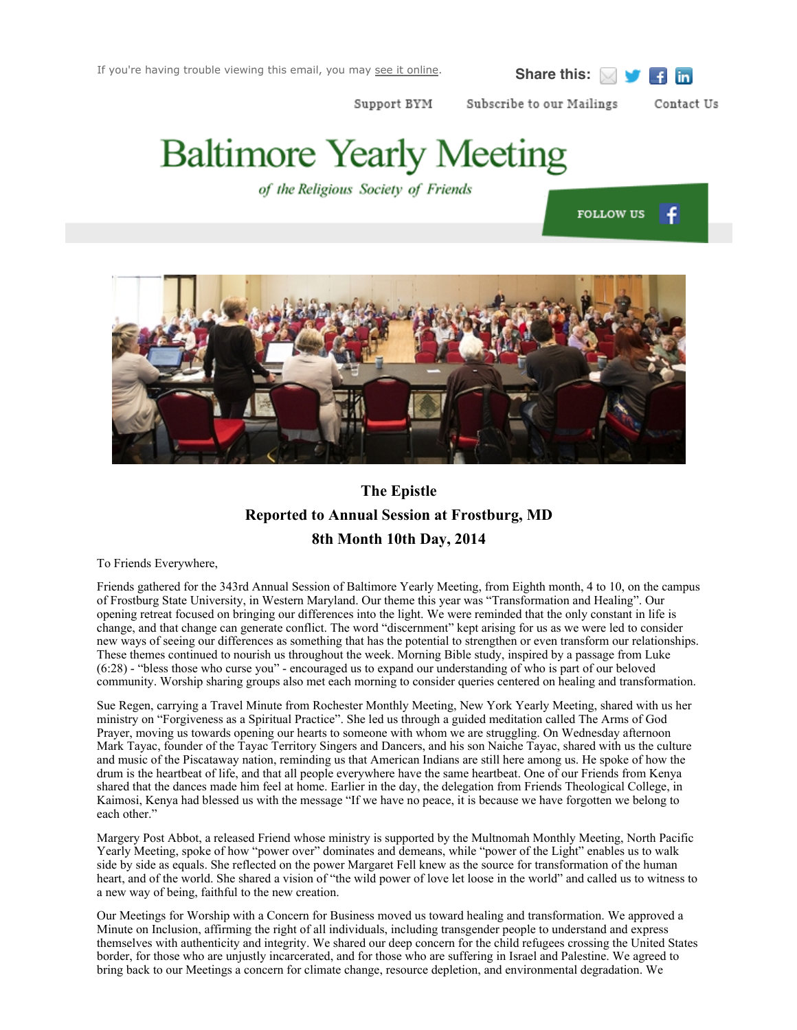$f$  in

Subscribe to our Mailings Support BYM

# **Baltimore Yearly Meeting**

of the Religious Society of Friends

**FOLLOW US** f

Contact Us



## **The Epistle Reported to Annual Session at Frostburg, MD 8th Month 10th Day, 2014**

To Friends Everywhere,

Friends gathered for the 343rd Annual Session of Baltimore Yearly Meeting, from Eighth month, 4 to 10, on the campus of Frostburg State University, in Western Maryland. Our theme this year was "Transformation and Healing". Our opening retreat focused on bringing our differences into the light. We were reminded that the only constant in life is change, and that change can generate conflict. The word "discernment" kept arising for us as we were led to consider new ways of seeing our differences as something that has the potential to strengthen or even transform our relationships. These themes continued to nourish us throughout the week. Morning Bible study, inspired by a passage from Luke (6:28) - "bless those who curse you" - encouraged us to expand our understanding of who is part of our beloved community. Worship sharing groups also met each morning to consider queries centered on healing and transformation.

Sue Regen, carrying a Travel Minute from Rochester Monthly Meeting, New York Yearly Meeting, shared with us her ministry on "Forgiveness as a Spiritual Practice". She led us through a guided meditation called The Arms of God Prayer, moving us towards opening our hearts to someone with whom we are struggling. On Wednesday afternoon Mark Tayac, founder of the Tayac Territory Singers and Dancers, and his son Naiche Tayac, shared with us the culture and music of the Piscataway nation, reminding us that American Indians are still here among us. He spoke of how the drum is the heartbeat of life, and that all people everywhere have the same heartbeat. One of our Friends from Kenya shared that the dances made him feel at home. Earlier in the day, the delegation from Friends Theological College, in Kaimosi, Kenya had blessed us with the message "If we have no peace, it is because we have forgotten we belong to each other."

Margery Post Abbot, a released Friend whose ministry is supported by the Multnomah Monthly Meeting, North Pacific Yearly Meeting, spoke of how "power over" dominates and demeans, while "power of the Light" enables us to walk side by side as equals. She reflected on the power Margaret Fell knew as the source for transformation of the human heart, and of the world. She shared a vision of "the wild power of love let loose in the world" and called us to witness to a new way of being, faithful to the new creation.

Our Meetings for Worship with a Concern for Business moved us toward healing and transformation. We approved a Minute on Inclusion, affirming the right of all individuals, including transgender people to understand and express themselves with authenticity and integrity. We shared our deep concern for the child refugees crossing the United States border, for those who are unjustly incarcerated, and for those who are suffering in Israel and Palestine. We agreed to bring back to our Meetings a concern for climate change, resource depletion, and environmental degradation. We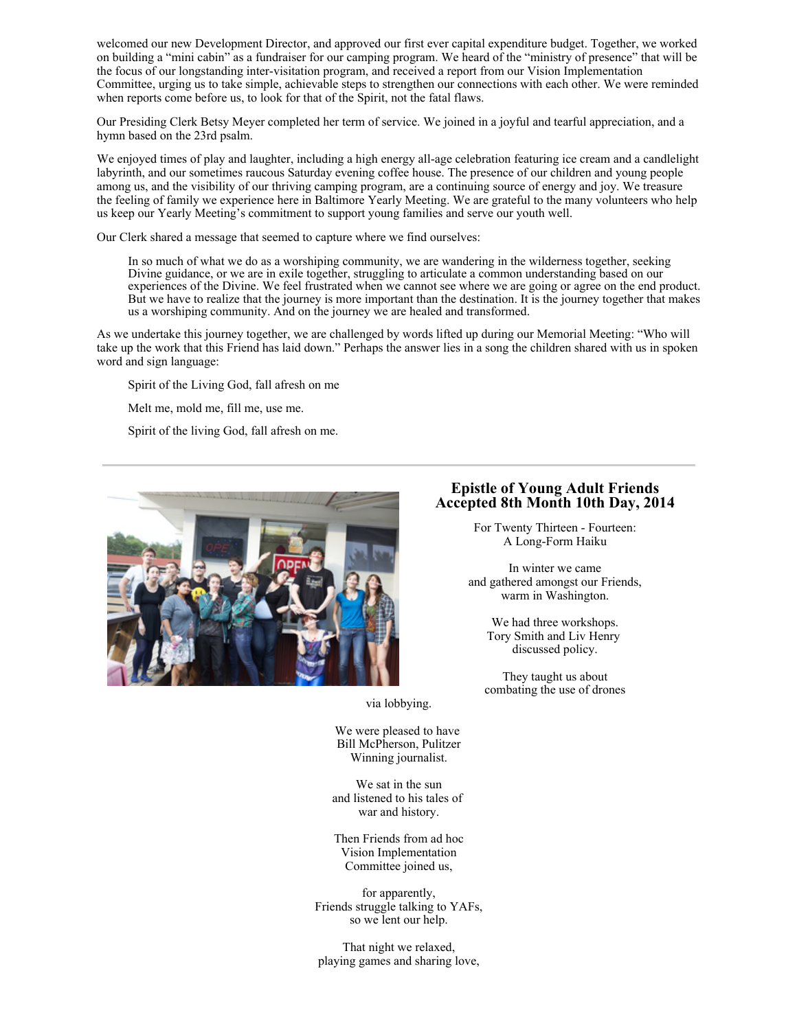welcomed our new Development Director, and approved our first ever capital expenditure budget. Together, we worked on building a "mini cabin" as a fundraiser for our camping program. We heard of the "ministry of presence" that will be the focus of our longstanding inter-visitation program, and received a report from our Vision Implementation Committee, urging us to take simple, achievable steps to strengthen our connections with each other. We were reminded when reports come before us, to look for that of the Spirit, not the fatal flaws.

Our Presiding Clerk Betsy Meyer completed her term of service. We joined in a joyful and tearful appreciation, and a hymn based on the 23rd psalm.

We enjoyed times of play and laughter, including a high energy all-age celebration featuring ice cream and a candlelight labyrinth, and our sometimes raucous Saturday evening coffee house. The presence of our children and young people among us, and the visibility of our thriving camping program, are a continuing source of energy and joy. We treasure the feeling of family we experience here in Baltimore Yearly Meeting. We are grateful to the many volunteers who help us keep our Yearly Meeting's commitment to support young families and serve our youth well.

Our Clerk shared a message that seemed to capture where we find ourselves:

In so much of what we do as a worshiping community, we are wandering in the wilderness together, seeking Divine guidance, or we are in exile together, struggling to articulate a common understanding based on our experiences of the Divine. We feel frustrated when we cannot see where we are going or agree on the end product. But we have to realize that the journey is more important than the destination. It is the journey together that makes us <sup>a</sup> worshiping community. And on the journey we are healed and transformed.

As we undertake this journey together, we are challenged by words lifted up during our Memorial Meeting: "Who will take up the work that this Friend has laid down." Perhaps the answer lies in a song the children shared with us in spoken word and sign language:

Spirit of the Living God, fall afresh on me

Melt me, mold me, fill me, use me.

Spirit of the living God, fall afresh on me.



#### **Epistle of Young Adult Friends Accepted 8th Month 10th Day, 2014**

For Twenty Thirteen - Fourteen: A Long-Form Haiku

In winter we came and gathered amongst our Friends, warm in Washington.

> We had three workshops. Tory Smith and Liv Henry discussed policy.

They taught us about combating the use of drones

via lobbying.

We were pleased to have Bill McPherson, Pulitzer Winning journalist.

We sat in the sun and listened to his tales of war and history.

Then Friends from ad hoc Vision Implementation Committee joined us,

for apparently, Friends struggle talking to YAFs, so we lent our help.

That night we relaxed, playing games and sharing love,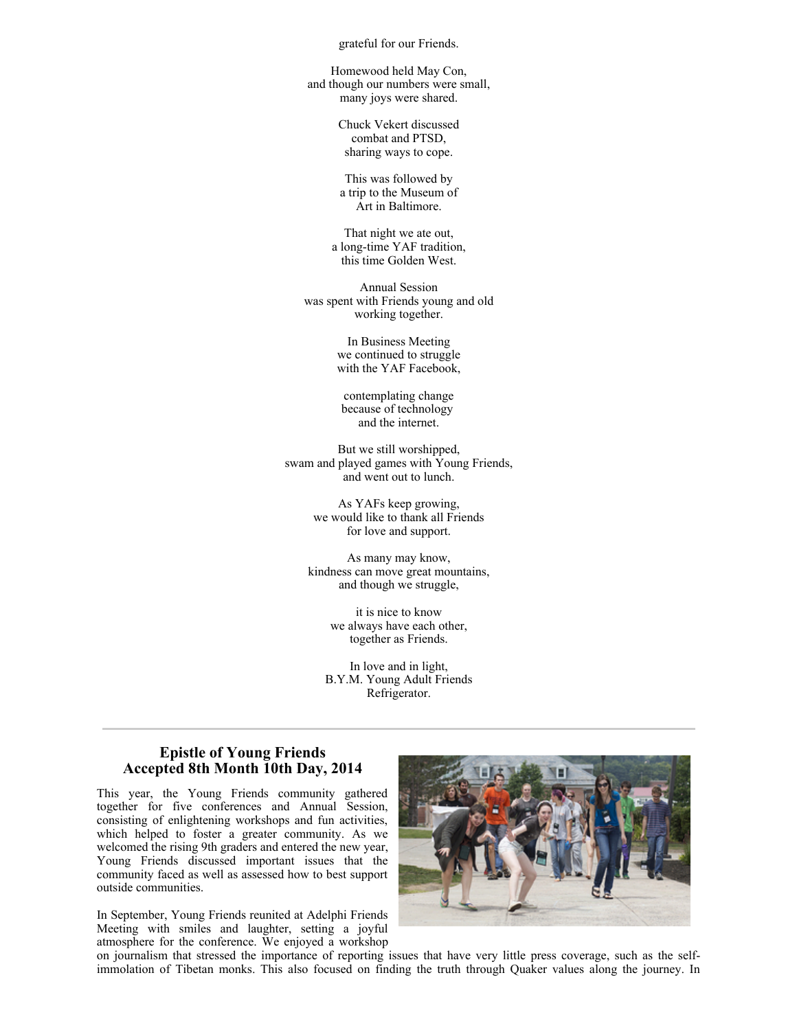grateful for our Friends.

Homewood held May Con, and though our numbers were small, many joys were shared.

> Chuck Vekert discussed combat and PTSD, sharing ways to cope.

This was followed by a trip to the Museum of Art in Baltimore.

That night we ate out, a long-time YAF tradition, this time Golden West.

Annual Session was spent with Friends young and old working together.

> In Business Meeting we continued to struggle with the YAF Facebook,

contemplating change because of technology and the internet.

But we still worshipped, swam and played games with Young Friends, and went out to lunch.

> As YAFs keep growing, we would like to thank all Friends for love and support.

As many may know, kindness can move great mountains, and though we struggle,

> it is nice to know we always have each other, together as Friends.

In love and in light, B.Y.M. Young Adult Friends Refrigerator.

#### **Epistle of Young Friends Accepted 8th Month 10th Day, 2014**

This year, the Young Friends community gathered together for five conferences and Annual Session, consisting of enlightening workshops and fun activities, which helped to foster a greater community. As we welcomed the rising 9th graders and entered the new year, Young Friends discussed important issues that the community faced as well as assessed how to best support outside communities.

In September, Young Friends reunited at Adelphi Friends Meeting with smiles and laughter, setting a joyful atmosphere for the conference. We enjoyed a workshop



on journalism that stressed the importance of reporting issues that have very little press coverage, such as the selfimmolation of Tibetan monks. This also focused on finding the truth through Quaker values along the journey. In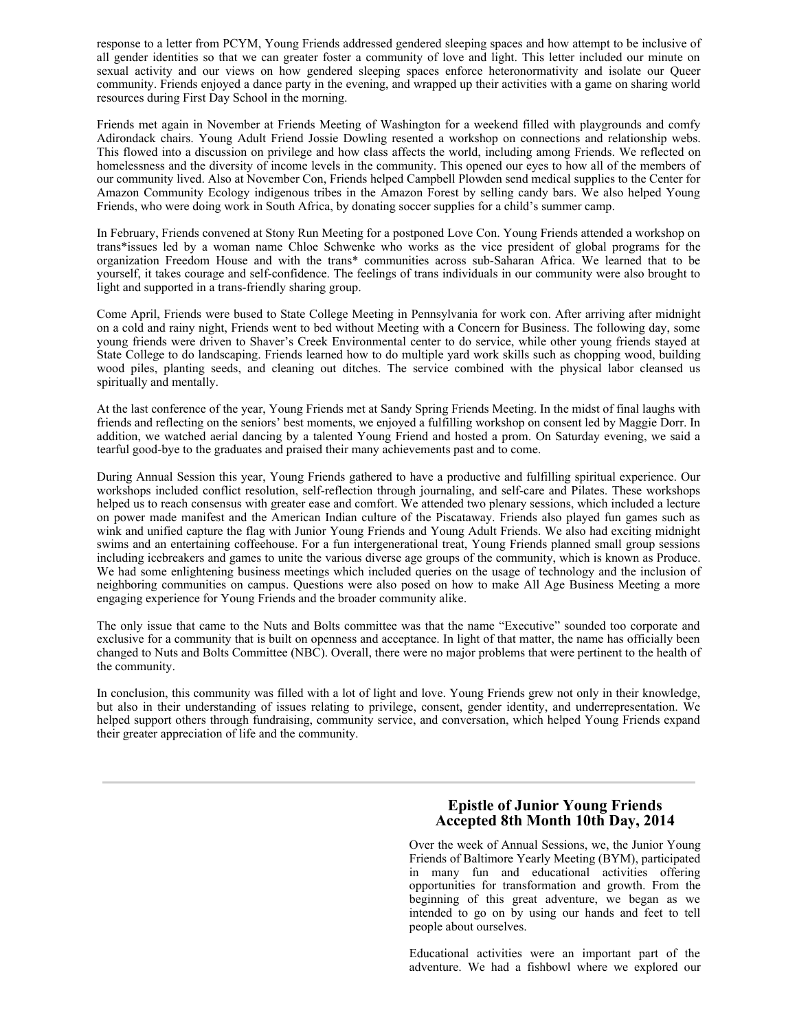response to a letter from PCYM, Young Friends addressed gendered sleeping spaces and how attempt to be inclusive of all gender identities so that we can greater foster a community of love and light. This letter included our minute on sexual activity and our views on how gendered sleeping spaces enforce heteronormativity and isolate our Queer community. Friends enjoyed a dance party in the evening, and wrapped up their activities with a game on sharing world resources during First Day School in the morning.

Friends met again in November at Friends Meeting of Washington for a weekend filled with playgrounds and comfy Adirondack chairs. Young Adult Friend Jossie Dowling resented a workshop on connections and relationship webs. This flowed into a discussion on privilege and how class affects the world, including among Friends. We reflected on homelessness and the diversity of income levels in the community. This opened our eyes to how all of the members of our community lived. Also at November Con, Friends helped Campbell Plowden send medical supplies to the Center for Amazon Community Ecology indigenous tribes in the Amazon Forest by selling candy bars. We also helped Young Friends, who were doing work in South Africa, by donating soccer supplies for a child's summer camp.

In February, Friends convened at Stony Run Meeting for a postponed Love Con. Young Friends attended a workshop on trans\*issues led by a woman name Chloe Schwenke who works as the vice president of global programs for the organization Freedom House and with the trans\* communities across sub-Saharan Africa. We learned that to be yourself, it takes courage and self-confidence. The feelings of trans individuals in our community were also brought to light and supported in a trans-friendly sharing group.

Come April, Friends were bused to State College Meeting in Pennsylvania for work con. After arriving after midnight on a cold and rainy night, Friends went to bed without Meeting with a Concern for Business. The following day, some young friends were driven to Shaver's Creek Environmental center to do service, while other young friends stayed at State College to do landscaping. Friends learned how to do multiple yard work skills such as chopping wood, building wood piles, planting seeds, and cleaning out ditches. The service combined with the physical labor cleansed us spiritually and mentally.

At the last conference of the year, Young Friends met at Sandy Spring Friends Meeting. In the midst of final laughs with friends and reflecting on the seniors' best moments, we enjoyed a fulfilling workshop on consent led by Maggie Dorr. In addition, we watched aerial dancing by a talented Young Friend and hosted a prom. On Saturday evening, we said a tearful good-bye to the graduates and praised their many achievements past and to come.

During Annual Session this year, Young Friends gathered to have a productive and fulfilling spiritual experience. Our workshops included conflict resolution, self-reflection through journaling, and self-care and Pilates. These workshops helped us to reach consensus with greater ease and comfort. We attended two plenary sessions, which included a lecture on power made manifest and the American Indian culture of the Piscataway. Friends also played fun games such as wink and unified capture the flag with Junior Young Friends and Young Adult Friends. We also had exciting midnight swims and an entertaining coffeehouse. For a fun intergenerational treat, Young Friends planned small group sessions including icebreakers and games to unite the various diverse age groups of the community, which is known as Produce. We had some enlightening business meetings which included queries on the usage of technology and the inclusion of neighboring communities on campus. Questions were also posed on how to make All Age Business Meeting a more engaging experience for Young Friends and the broader community alike.

The only issue that came to the Nuts and Bolts committee was that the name "Executive" sounded too corporate and exclusive for a community that is built on openness and acceptance. In light of that matter, the name has officially been changed to Nuts and Bolts Committee (NBC). Overall, there were no major problems that were pertinent to the health of the community.

In conclusion, this community was filled with a lot of light and love. Young Friends grew not only in their knowledge, but also in their understanding of issues relating to privilege, consent, gender identity, and underrepresentation. We helped support others through fundraising, community service, and conversation, which helped Young Friends expand their greater appreciation of life and the community.

#### **Epistle of Junior Young Friends Accepted 8th Month 10th Day, 2014**

Over the week of Annual Sessions, we, the Junior Young Friends of Baltimore Yearly Meeting (BYM), participated in many fun and educational activities offering opportunities for transformation and growth. From the beginning of this great adventure, we began as we intended to go on by using our hands and feet to tell people about ourselves.

Educational activities were an important part of the adventure. We had a fishbowl where we explored our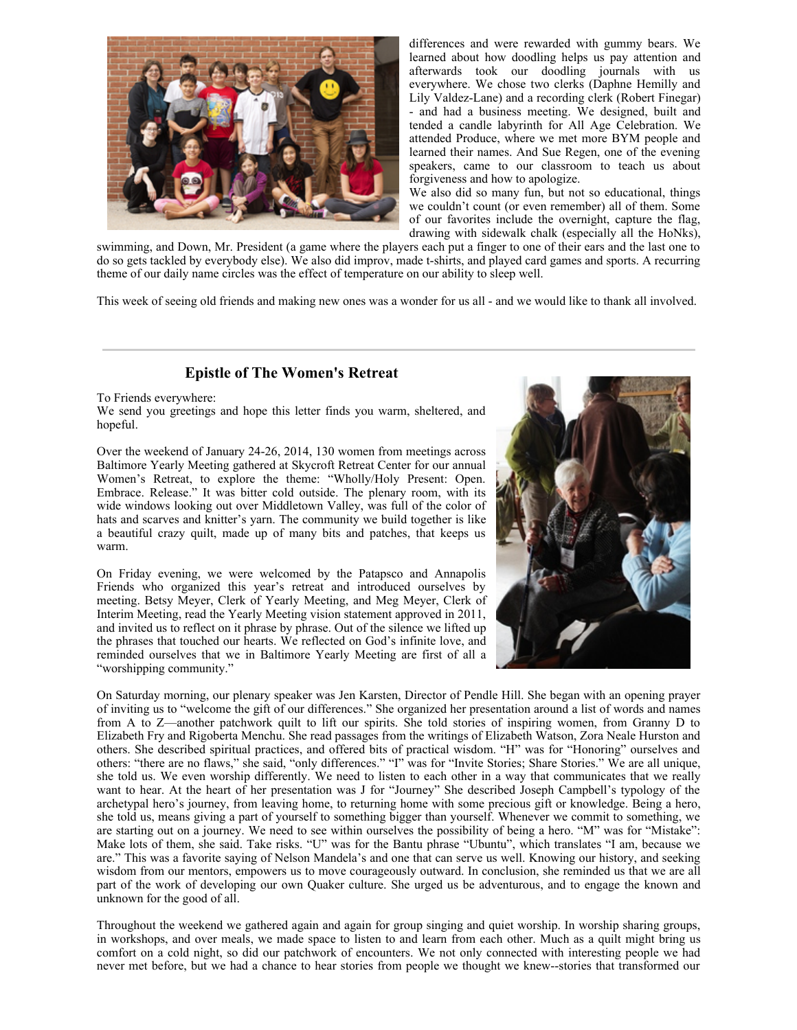

differences and were rewarded with gummy bears. We learned about how doodling helps us pay attention and afterwards took our doodling journals with us everywhere. We chose two clerks (Daphne Hemilly and Lily Valdez-Lane) and a recording clerk (Robert Finegar) - and had a business meeting. We designed, built and tended a candle labyrinth for All Age Celebration. We attended Produce, where we met more BYM people and learned their names. And Sue Regen, one of the evening speakers, came to our classroom to teach us about forgiveness and how to apologize.

We also did so many fun, but not so educational, things we couldn't count (or even remember) all of them. Some of our favorites include the overnight, capture the flag, drawing with sidewalk chalk (especially all the HoNks),

swimming, and Down, Mr. President (a game where the players each put a finger to one of their ears and the last one to do so gets tackled by everybody else). We also did improv, made t-shirts, and played card games and sports. A recurring theme of our daily name circles was the effect of temperature on our ability to sleep well.

This week of seeing old friends and making new ones was a wonder for us all - and we would like to thank all involved.

### **Epistle of The Women's Retreat**

To Friends everywhere:

We send you greetings and hope this letter finds you warm, sheltered, and hopeful.

Over the weekend of January 24-26, 2014, 130 women from meetings across Baltimore Yearly Meeting gathered at Skycroft Retreat Center for our annual Women's Retreat, to explore the theme: "Wholly/Holy Present: Open. Embrace. Release." It was bitter cold outside. The plenary room, with its wide windows looking out over Middletown Valley, was full of the color of hats and scarves and knitter's yarn. The community we build together is like a beautiful crazy quilt, made up of many bits and patches, that keeps us warm.

On Friday evening, we were welcomed by the Patapsco and Annapolis Friends who organized this year's retreat and introduced ourselves by meeting. Betsy Meyer, Clerk of Yearly Meeting, and Meg Meyer, Clerk of Interim Meeting, read the Yearly Meeting vision statement approved in 2011, and invited us to reflect on it phrase by phrase. Out of the silence we lifted up the phrases that touched our hearts. We reflected on God's infinite love, and reminded ourselves that we in Baltimore Yearly Meeting are first of all a "worshipping community."



On Saturday morning, our plenary speaker was Jen Karsten, Director of Pendle Hill. She began with an opening prayer of inviting us to "welcome the gift of our differences." She organized her presentation around a list of words and names from A to Z—another patchwork quilt to lift our spirits. She told stories of inspiring women, from Granny D to Elizabeth Fry and Rigoberta Menchu. She read passages from the writings of Elizabeth Watson, Zora Neale Hurston and others. She described spiritual practices, and offered bits of practical wisdom. "H" was for "Honoring" ourselves and others: "there are no flaws," she said, "only differences." "I" was for "Invite Stories; Share Stories." We are all unique, she told us. We even worship differently. We need to listen to each other in a way that communicates that we really want to hear. At the heart of her presentation was J for "Journey" She described Joseph Campbell's typology of the archetypal hero's journey, from leaving home, to returning home with some precious gift or knowledge. Being a hero, she told us, means giving a part of yourself to something bigger than yourself. Whenever we commit to something, we are starting out on a journey. We need to see within ourselves the possibility of being a hero. "M" was for "Mistake": Make lots of them, she said. Take risks. "U" was for the Bantu phrase "Ubuntu", which translates "I am, because we are." This was a favorite saying of Nelson Mandela's and one that can serve us well. Knowing our history, and seeking wisdom from our mentors, empowers us to move courageously outward. In conclusion, she reminded us that we are all part of the work of developing our own Quaker culture. She urged us be adventurous, and to engage the known and unknown for the good of all.

Throughout the weekend we gathered again and again for group singing and quiet worship. In worship sharing groups, in workshops, and over meals, we made space to listen to and learn from each other. Much as a quilt might bring us comfort on a cold night, so did our patchwork of encounters. We not only connected with interesting people we had never met before, but we had a chance to hear stories from people we thought we knew--stories that transformed our